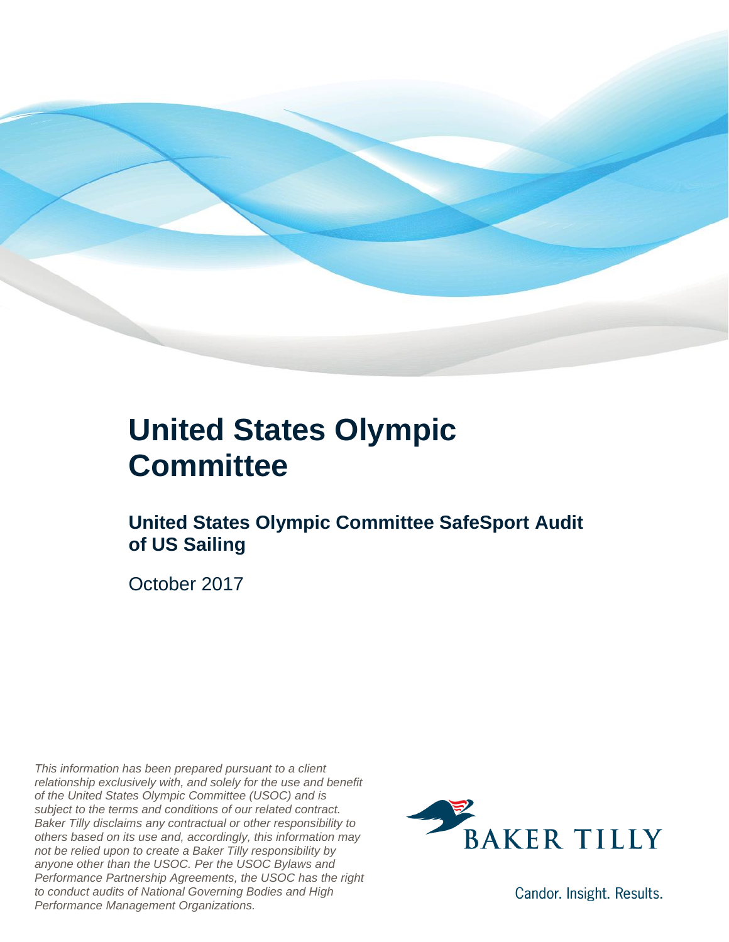

#### **United States Olympic Committee**

#### **United States Olympic Committee SafeSport Audit of US Sailing**

October 2017

*This information has been prepared pursuant to a client relationship exclusively with, and solely for the use and benefit of the United States Olympic Committee (USOC) and is subject to the terms and conditions of our related contract. Baker Tilly disclaims any contractual or other responsibility to others based on its use and, accordingly, this information may not be relied upon to create a Baker Tilly responsibility by anyone other than the USOC. Per the USOC Bylaws and Performance Partnership Agreements, the USOC has the right to conduct audits of National Governing Bodies and High Performance Management Organizations.*



Candor. Insight. Results.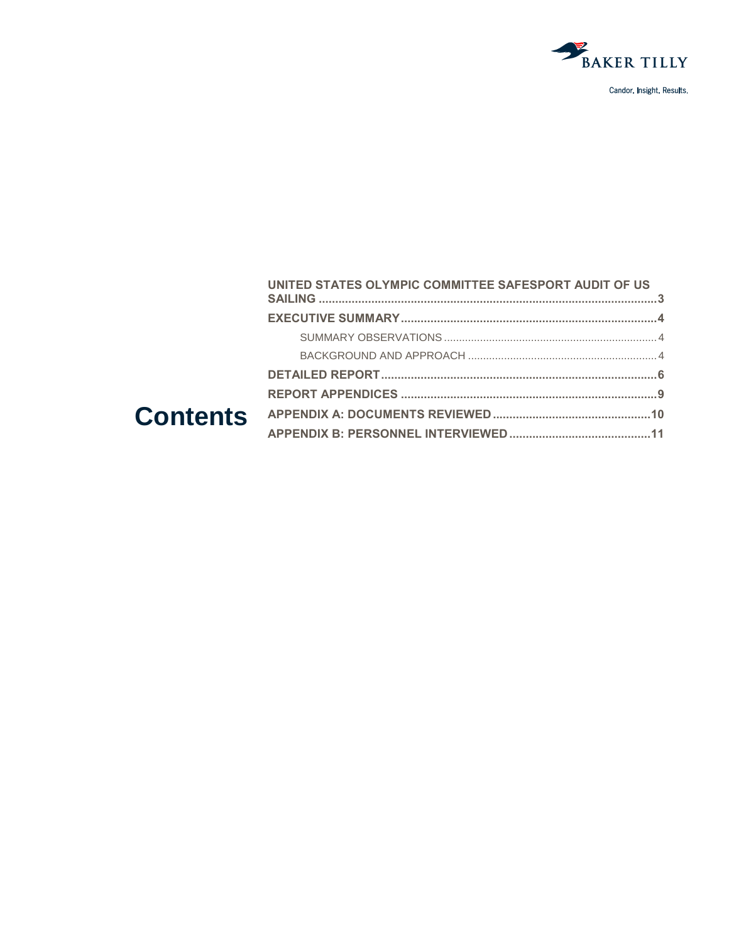

|  | UNITED STATES OLYMPIC COMMITTEE SAFESPORT AUDIT OF US |  |
|--|-------------------------------------------------------|--|
|  |                                                       |  |
|  |                                                       |  |
|  |                                                       |  |
|  |                                                       |  |
|  |                                                       |  |
|  |                                                       |  |
|  |                                                       |  |
|  |                                                       |  |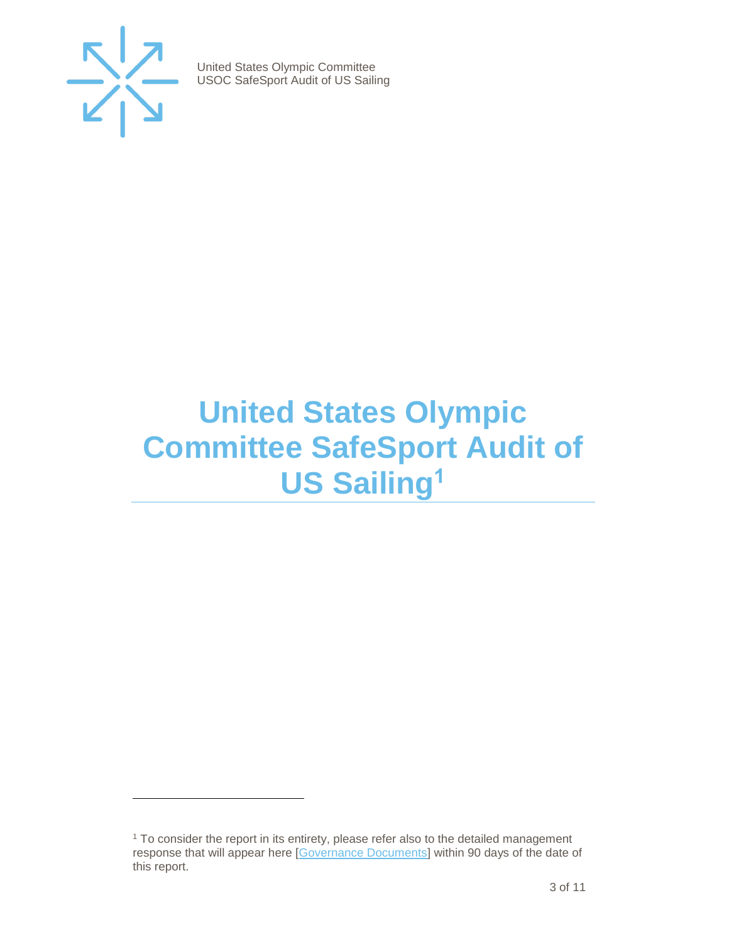

 $\overline{a}$ 

United States Olympic Committee USOC SafeSport Audit of US Sailing

#### <span id="page-2-0"></span>**United States Olympic Committee SafeSport Audit of US Sailing<sup>1</sup>**

<sup>&</sup>lt;sup>1</sup> To consider the report in its entirety, please refer also to the detailed management response that will appear here [\[Governance Documents\]](https://www.teamusa.org/Footer/Legal/Governance-Documents) within 90 days of the date of this report.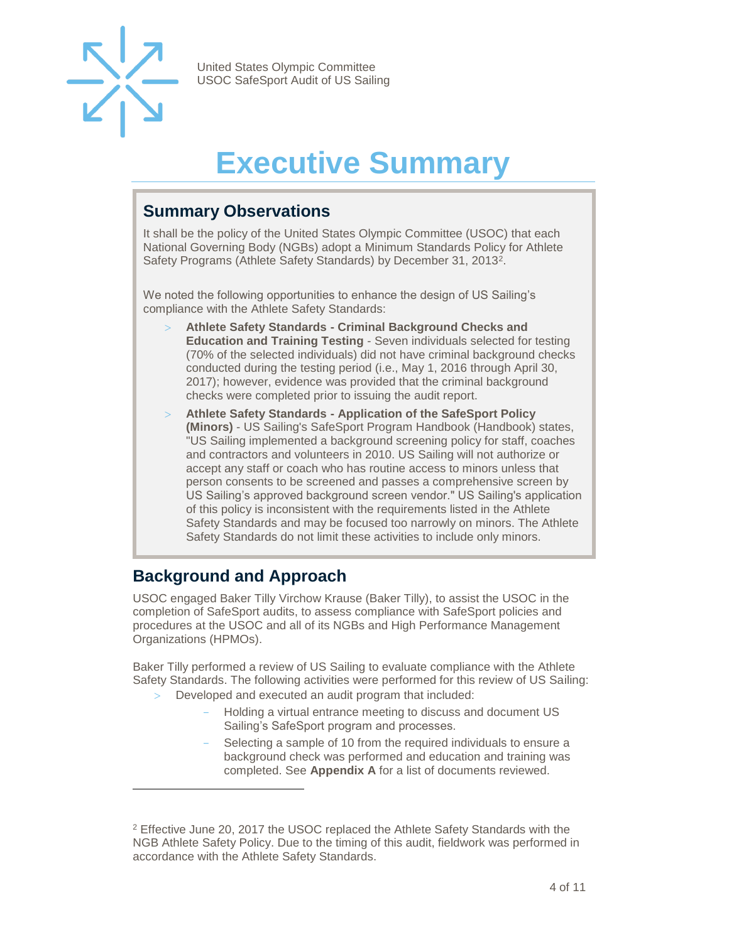

### **Executive Summary**

#### <span id="page-3-1"></span><span id="page-3-0"></span>**Summary Observations**

It shall be the policy of the United States Olympic Committee (USOC) that each National Governing Body (NGBs) adopt a Minimum Standards Policy for Athlete Safety Programs (Athlete Safety Standards) by December 31, 2013<sup>2</sup>.

We noted the following opportunities to enhance the design of US Sailing's compliance with the Athlete Safety Standards:

- **Athlete Safety Standards - Criminal Background Checks and Education and Training Testing** - Seven individuals selected for testing (70% of the selected individuals) did not have criminal background checks conducted during the testing period (i.e., May 1, 2016 through April 30, 2017); however, evidence was provided that the criminal background checks were completed prior to issuing the audit report.
- **Athlete Safety Standards - Application of the SafeSport Policy (Minors)** - US Sailing's SafeSport Program Handbook (Handbook) states, "US Sailing implemented a background screening policy for staff, coaches and contractors and volunteers in 2010. US Sailing will not authorize or accept any staff or coach who has routine access to minors unless that person consents to be screened and passes a comprehensive screen by US Sailing's approved background screen vendor." US Sailing's application of this policy is inconsistent with the requirements listed in the Athlete Safety Standards and may be focused too narrowly on minors. The Athlete Safety Standards do not limit these activities to include only minors.

#### <span id="page-3-2"></span>**Background and Approach**

 $\overline{a}$ 

USOC engaged Baker Tilly Virchow Krause (Baker Tilly), to assist the USOC in the completion of SafeSport audits, to assess compliance with SafeSport policies and procedures at the USOC and all of its NGBs and High Performance Management Organizations (HPMOs).

Baker Tilly performed a review of US Sailing to evaluate compliance with the Athlete Safety Standards. The following activities were performed for this review of US Sailing:

- Developed and executed an audit program that included:
	- Holding a virtual entrance meeting to discuss and document US Sailing's SafeSport program and processes.
	- Selecting a sample of 10 from the required individuals to ensure a background check was performed and education and training was completed. See **Appendix A** for a list of documents reviewed.

<sup>2</sup> Effective June 20, 2017 the USOC replaced the Athlete Safety Standards with the NGB Athlete Safety Policy. Due to the timing of this audit, fieldwork was performed in accordance with the Athlete Safety Standards.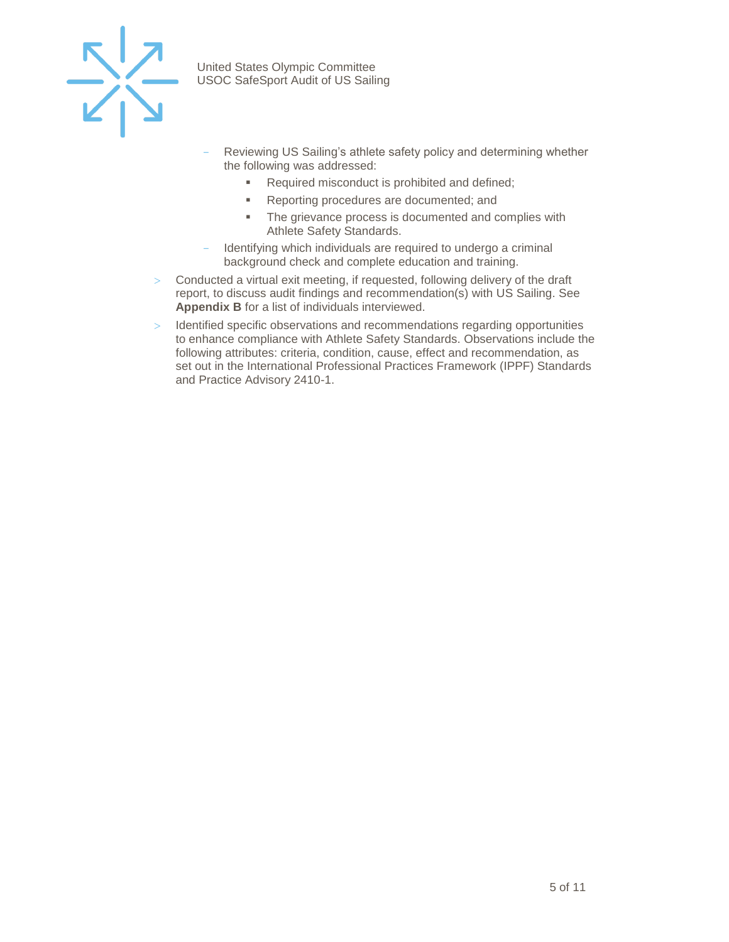

- Reviewing US Sailing's athlete safety policy and determining whether the following was addressed:
	- Required misconduct is prohibited and defined;
	- Reporting procedures are documented; and
	- The grievance process is documented and complies with Athlete Safety Standards.
- Identifying which individuals are required to undergo a criminal background check and complete education and training.
- Conducted a virtual exit meeting, if requested, following delivery of the draft report, to discuss audit findings and recommendation(s) with US Sailing. See **Appendix B** for a list of individuals interviewed.
- > Identified specific observations and recommendations regarding opportunities to enhance compliance with Athlete Safety Standards. Observations include the following attributes: criteria, condition, cause, effect and recommendation, as set out in the International Professional Practices Framework (IPPF) Standards and Practice Advisory 2410-1.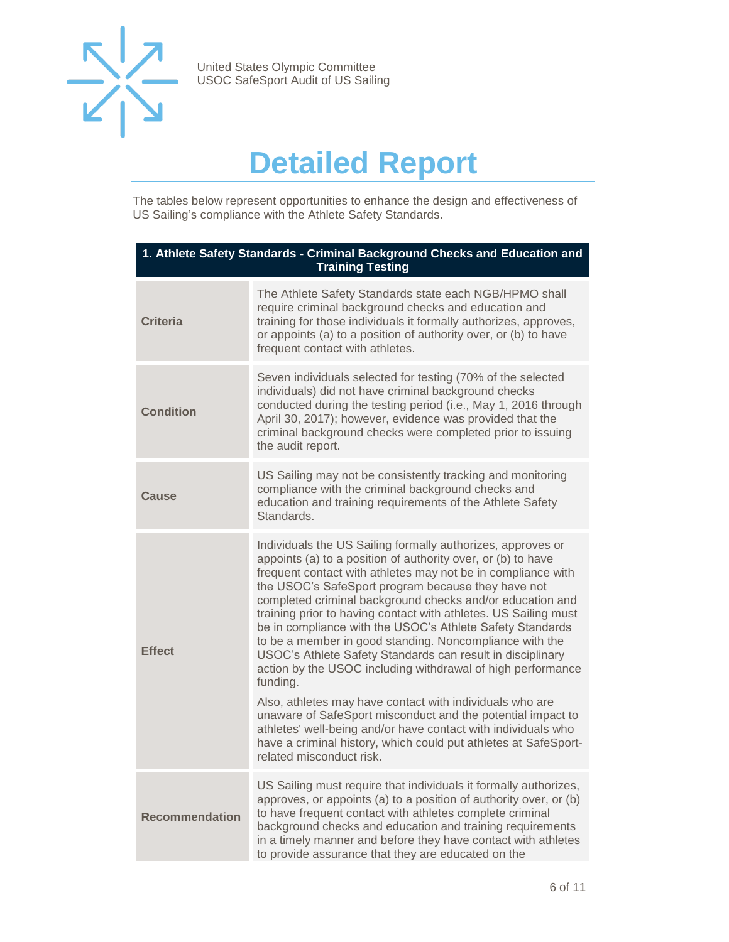

### **Detailed Report**

<span id="page-5-0"></span>The tables below represent opportunities to enhance the design and effectiveness of US Sailing's compliance with the Athlete Safety Standards.

| 1. Athlete Safety Standards - Criminal Background Checks and Education and<br><b>Training Testing</b> |                                                                                                                                                                                                                                                                                                                                                                                                                                                                                                                                                                                                                                                                                                                                                                                                                                                                                                                                               |  |
|-------------------------------------------------------------------------------------------------------|-----------------------------------------------------------------------------------------------------------------------------------------------------------------------------------------------------------------------------------------------------------------------------------------------------------------------------------------------------------------------------------------------------------------------------------------------------------------------------------------------------------------------------------------------------------------------------------------------------------------------------------------------------------------------------------------------------------------------------------------------------------------------------------------------------------------------------------------------------------------------------------------------------------------------------------------------|--|
| <b>Criteria</b>                                                                                       | The Athlete Safety Standards state each NGB/HPMO shall<br>require criminal background checks and education and<br>training for those individuals it formally authorizes, approves,<br>or appoints (a) to a position of authority over, or (b) to have<br>frequent contact with athletes.                                                                                                                                                                                                                                                                                                                                                                                                                                                                                                                                                                                                                                                      |  |
| <b>Condition</b>                                                                                      | Seven individuals selected for testing (70% of the selected<br>individuals) did not have criminal background checks<br>conducted during the testing period (i.e., May 1, 2016 through<br>April 30, 2017); however, evidence was provided that the<br>criminal background checks were completed prior to issuing<br>the audit report.                                                                                                                                                                                                                                                                                                                                                                                                                                                                                                                                                                                                          |  |
| Cause                                                                                                 | US Sailing may not be consistently tracking and monitoring<br>compliance with the criminal background checks and<br>education and training requirements of the Athlete Safety<br>Standards.                                                                                                                                                                                                                                                                                                                                                                                                                                                                                                                                                                                                                                                                                                                                                   |  |
| <b>Effect</b>                                                                                         | Individuals the US Sailing formally authorizes, approves or<br>appoints (a) to a position of authority over, or (b) to have<br>frequent contact with athletes may not be in compliance with<br>the USOC's SafeSport program because they have not<br>completed criminal background checks and/or education and<br>training prior to having contact with athletes. US Sailing must<br>be in compliance with the USOC's Athlete Safety Standards<br>to be a member in good standing. Noncompliance with the<br>USOC's Athlete Safety Standards can result in disciplinary<br>action by the USOC including withdrawal of high performance<br>funding.<br>Also, athletes may have contact with individuals who are<br>unaware of SafeSport misconduct and the potential impact to<br>athletes' well-being and/or have contact with individuals who<br>have a criminal history, which could put athletes at SafeSport-<br>related misconduct risk. |  |
| <b>Recommendation</b>                                                                                 | US Sailing must require that individuals it formally authorizes,<br>approves, or appoints (a) to a position of authority over, or (b)<br>to have frequent contact with athletes complete criminal<br>background checks and education and training requirements<br>in a timely manner and before they have contact with athletes<br>to provide assurance that they are educated on the                                                                                                                                                                                                                                                                                                                                                                                                                                                                                                                                                         |  |
|                                                                                                       |                                                                                                                                                                                                                                                                                                                                                                                                                                                                                                                                                                                                                                                                                                                                                                                                                                                                                                                                               |  |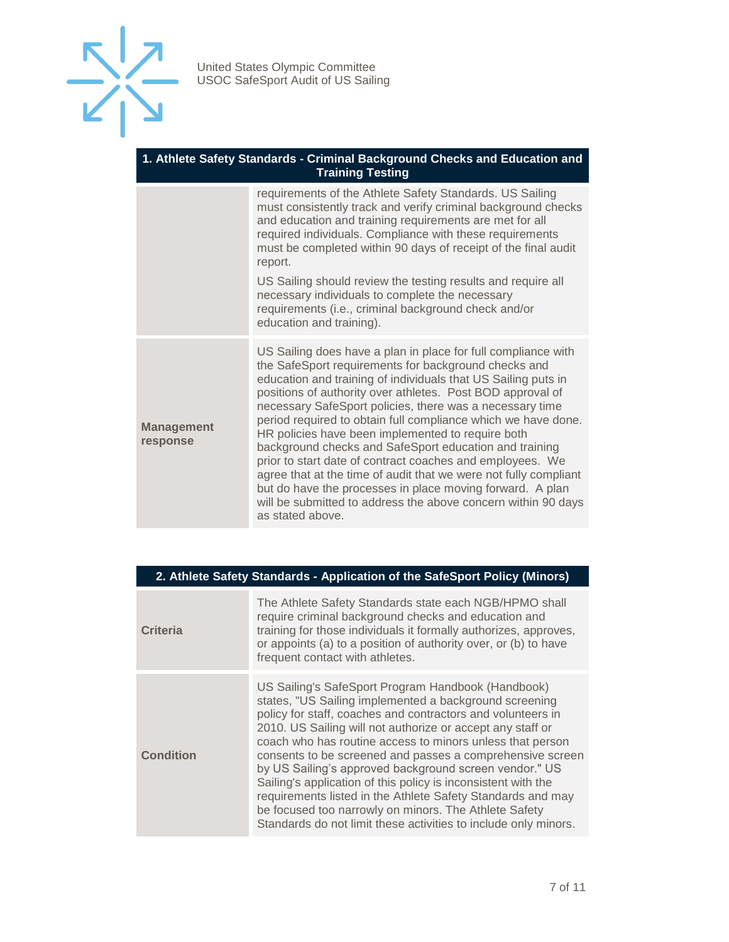

#### **1. Athlete Safety Standards - Criminal Background Checks and Education and Training Testing**

requirements of the Athlete Safety Standards. US Sailing must consistently track and verify criminal background checks and education and training requirements are met for all required individuals. Compliance with these requirements must be completed within 90 days of receipt of the final audit report. US Sailing should review the testing results and require all necessary individuals to complete the necessary requirements (i.e., criminal background check and/or education and training). **Management response** US Sailing does have a plan in place for full compliance with the SafeSport requirements for background checks and education and training of individuals that US Sailing puts in positions of authority over athletes. Post BOD approval of necessary SafeSport policies, there was a necessary time period required to obtain full compliance which we have done. HR policies have been implemented to require both background checks and SafeSport education and training prior to start date of contract coaches and employees. We agree that at the time of audit that we were not fully compliant but do have the processes in place moving forward. A plan will be submitted to address the above concern within 90 days as stated above.

| 2. Athlete Safety Standards - Application of the SafeSport Policy (Minors) |                                                                                                                                                                                                                                                                                                                                                                                                                                                                                                                                                                                                                                                                                           |  |  |
|----------------------------------------------------------------------------|-------------------------------------------------------------------------------------------------------------------------------------------------------------------------------------------------------------------------------------------------------------------------------------------------------------------------------------------------------------------------------------------------------------------------------------------------------------------------------------------------------------------------------------------------------------------------------------------------------------------------------------------------------------------------------------------|--|--|
| <b>Criteria</b>                                                            | The Athlete Safety Standards state each NGB/HPMO shall<br>require criminal background checks and education and<br>training for those individuals it formally authorizes, approves,<br>or appoints (a) to a position of authority over, or (b) to have<br>frequent contact with athletes.                                                                                                                                                                                                                                                                                                                                                                                                  |  |  |
| <b>Condition</b>                                                           | US Sailing's SafeSport Program Handbook (Handbook)<br>states, "US Sailing implemented a background screening<br>policy for staff, coaches and contractors and volunteers in<br>2010. US Sailing will not authorize or accept any staff or<br>coach who has routine access to minors unless that person<br>consents to be screened and passes a comprehensive screen<br>by US Sailing's approved background screen vendor." US<br>Sailing's application of this policy is inconsistent with the<br>requirements listed in the Athlete Safety Standards and may<br>be focused too narrowly on minors. The Athlete Safety<br>Standards do not limit these activities to include only minors. |  |  |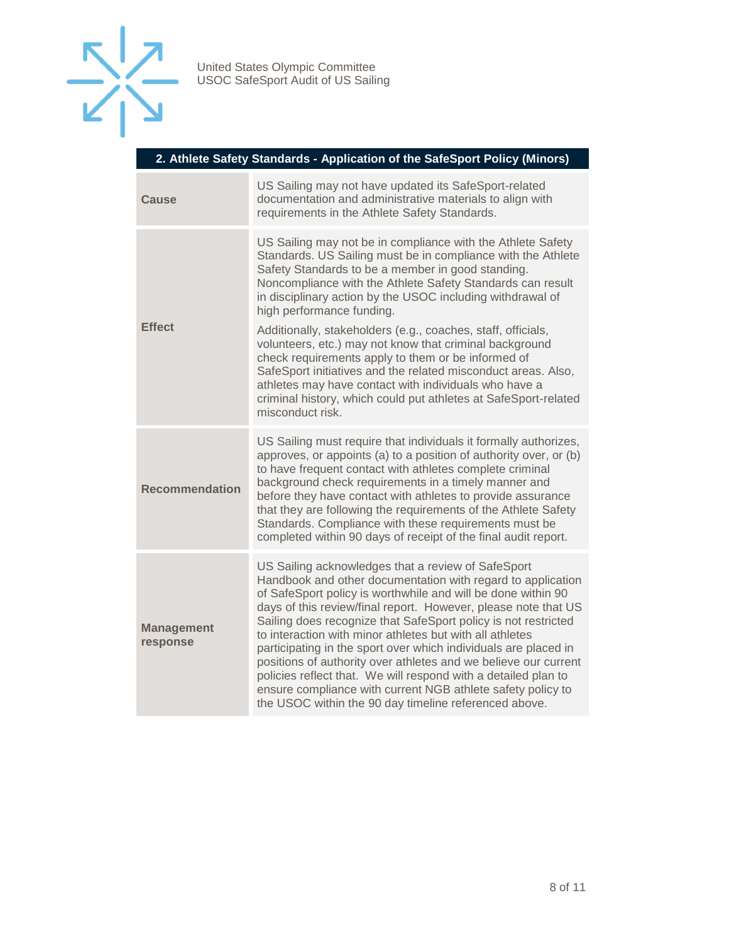

| 2. Athlete Safety Standards - Application of the SafeSport Policy (Minors) |  |  |  |
|----------------------------------------------------------------------------|--|--|--|
|                                                                            |  |  |  |

| Cause                         | US Sailing may not have updated its SafeSport-related<br>documentation and administrative materials to align with<br>requirements in the Athlete Safety Standards.                                                                                                                                                                                                                                                                                                                                                                                                                                                                                                                                                                          |  |  |
|-------------------------------|---------------------------------------------------------------------------------------------------------------------------------------------------------------------------------------------------------------------------------------------------------------------------------------------------------------------------------------------------------------------------------------------------------------------------------------------------------------------------------------------------------------------------------------------------------------------------------------------------------------------------------------------------------------------------------------------------------------------------------------------|--|--|
| <b>Effect</b>                 | US Sailing may not be in compliance with the Athlete Safety<br>Standards. US Sailing must be in compliance with the Athlete<br>Safety Standards to be a member in good standing.<br>Noncompliance with the Athlete Safety Standards can result<br>in disciplinary action by the USOC including withdrawal of<br>high performance funding.<br>Additionally, stakeholders (e.g., coaches, staff, officials,<br>volunteers, etc.) may not know that criminal background<br>check requirements apply to them or be informed of<br>SafeSport initiatives and the related misconduct areas. Also,<br>athletes may have contact with individuals who have a<br>criminal history, which could put athletes at SafeSport-related<br>misconduct risk. |  |  |
| <b>Recommendation</b>         | US Sailing must require that individuals it formally authorizes,<br>approves, or appoints (a) to a position of authority over, or (b)<br>to have frequent contact with athletes complete criminal<br>background check requirements in a timely manner and<br>before they have contact with athletes to provide assurance<br>that they are following the requirements of the Athlete Safety<br>Standards. Compliance with these requirements must be<br>completed within 90 days of receipt of the final audit report.                                                                                                                                                                                                                       |  |  |
| <b>Management</b><br>response | US Sailing acknowledges that a review of SafeSport<br>Handbook and other documentation with regard to application<br>of SafeSport policy is worthwhile and will be done within 90<br>days of this review/final report. However, please note that US<br>Sailing does recognize that SafeSport policy is not restricted<br>to interaction with minor athletes but with all athletes<br>participating in the sport over which individuals are placed in<br>positions of authority over athletes and we believe our current<br>policies reflect that. We will respond with a detailed plan to<br>ensure compliance with current NGB athlete safety policy to<br>the USOC within the 90 day timeline referenced above.                           |  |  |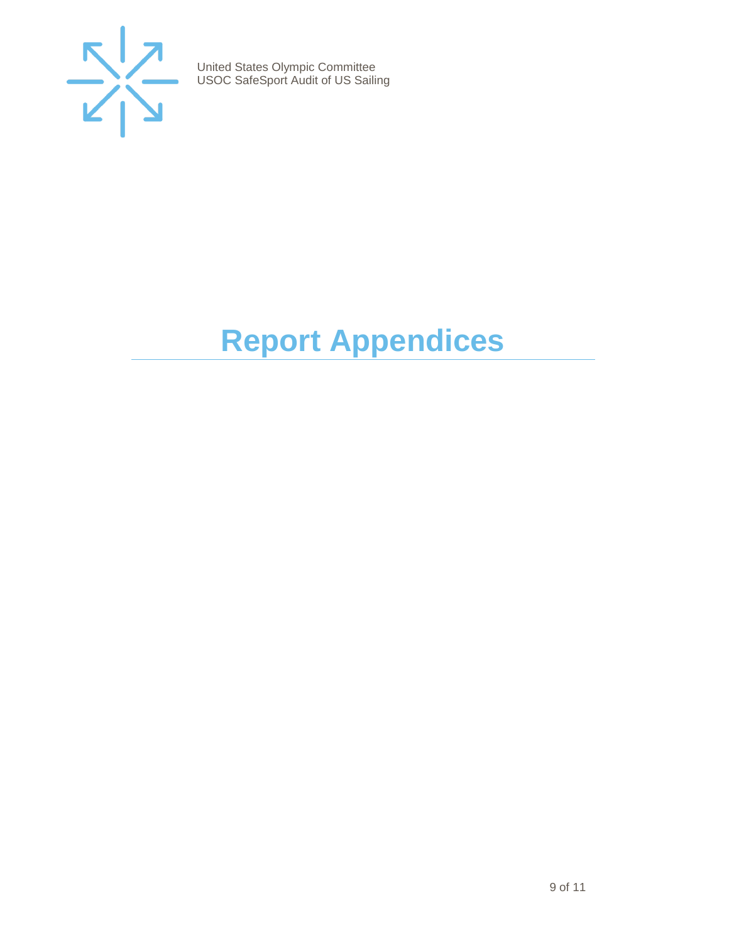

## <span id="page-8-0"></span>**Report Appendices**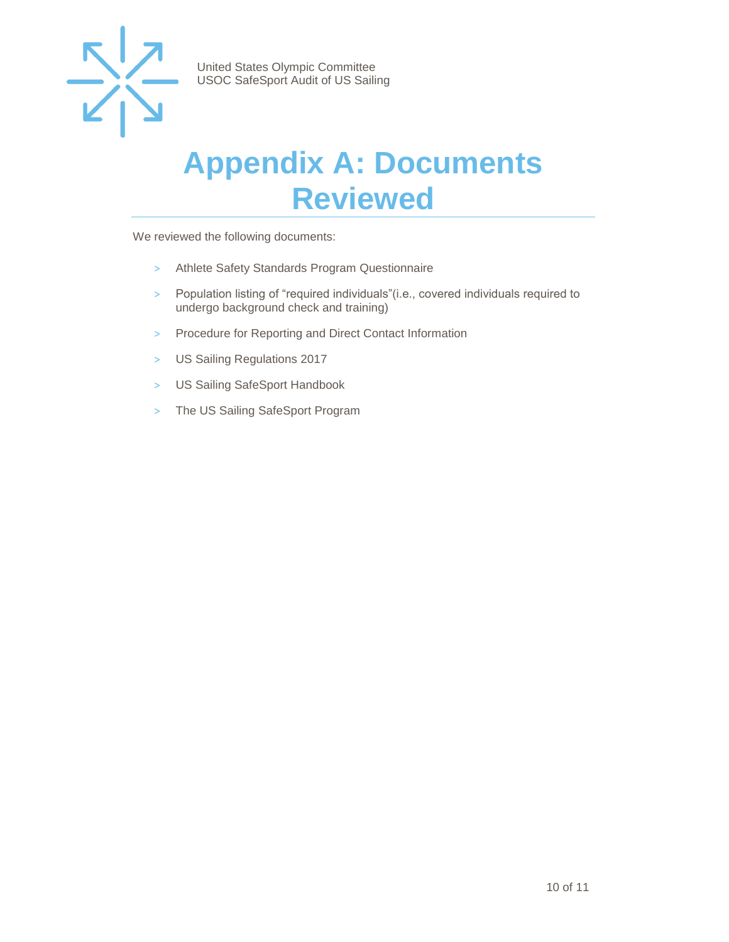

#### <span id="page-9-0"></span>**Appendix A: Documents Reviewed**

We reviewed the following documents:

- > Athlete Safety Standards Program Questionnaire
- > Population listing of "required individuals"(i.e., covered individuals required to undergo background check and training)
- > Procedure for Reporting and Direct Contact Information
- > US Sailing Regulations 2017
- > US Sailing SafeSport Handbook
- > The US Sailing SafeSport Program